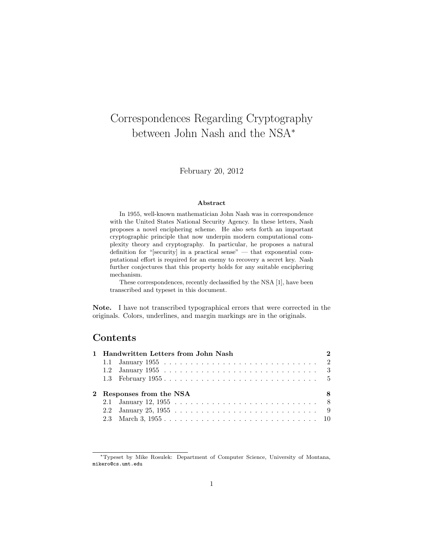# Correspondences Regarding Cryptography between John Nash and the NSA<sup>∗</sup>

February 20, 2012

#### Abstract

In 1955, well-known mathematician John Nash was in correspondence with the United States National Security Agency. In these letters, Nash proposes a novel enciphering scheme. He also sets forth an important cryptographic principle that now underpin modern computational complexity theory and cryptography. In particular, he proposes a natural definition for "[security] in a practical sense" — that exponential computational effort is required for an enemy to recovery a secret key. Nash further conjectures that this property holds for any suitable enciphering mechanism.

These correspondences, recently declassified by the NSA [1], have been transcribed and typeset in this document.

Note. I have not transcribed typographical errors that were corrected in the originals. Colors, underlines, and margin markings are in the originals.

### Contents

|                               | 1 Handwritten Letters from John Nash |  |  |  |
|-------------------------------|--------------------------------------|--|--|--|
|                               |                                      |  |  |  |
|                               |                                      |  |  |  |
|                               |                                      |  |  |  |
| 2 Responses from the NSA<br>8 |                                      |  |  |  |
|                               |                                      |  |  |  |
|                               |                                      |  |  |  |
|                               |                                      |  |  |  |

<sup>∗</sup>Typeset by Mike Rosulek: Department of Computer Science, University of Montana, mikero@cs.umt.edu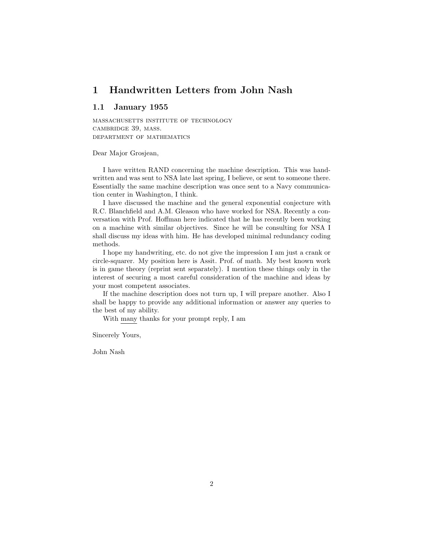### 1 Handwritten Letters from John Nash

#### 1.1 January 1955

massachusetts institute of technology cambridge 39, mass. department of mathematics

Dear Major Grosjean,

I have written RAND concerning the machine description. This was handwritten and was sent to NSA late last spring, I believe, or sent to someone there. Essentially the same machine description was once sent to a Navy communication center in Washington, I think.

I have discussed the machine and the general exponential conjecture with R.C. Blanchfield and A.M. Gleason who have worked for NSA. Recently a conversation with Prof. Hoffman here indicated that he has recently been working on a machine with similar objectives. Since he will be consulting for NSA I shall discuss my ideas with him. He has developed minimal redundancy coding methods.

I hope my handwriting, etc. do not give the impression I am just a crank or circle-squarer. My position here is Assit. Prof. of math. My best known work is in game theory (reprint sent separately). I mention these things only in the interest of securing a most careful consideration of the machine and ideas by your most competent associates.

If the machine description does not turn up, I will prepare another. Also I shall be happy to provide any additional information or answer any queries to the best of my ability.

With many thanks for your prompt reply, I am

Sincerely Yours,

John Nash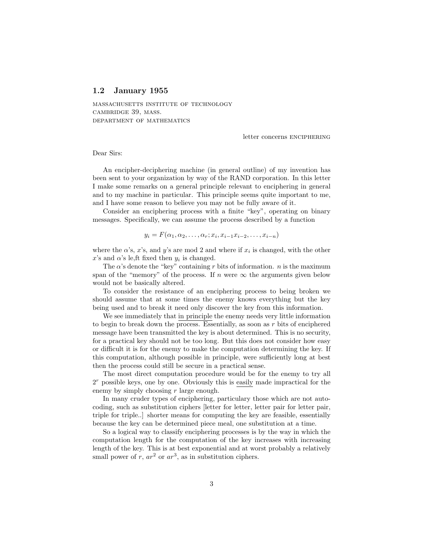#### 1.2 January 1955

massachusetts institute of technology cambridge 39, mass. department of mathematics

letter concerns enciphering

Dear Sirs:

An encipher-deciphering machine (in general outline) of my invention has been sent to your organization by way of the RAND corporation. In this letter I make some remarks on a general principle relevant to enciphering in general and to my machine in particular. This principle seems quite important to me, and I have some reason to believe you may not be fully aware of it.

Consider an enciphering process with a finite "key", operating on binary messages. Specifically, we can assume the process described by a function

$$
y_i = F(\alpha_1, \alpha_2, \dots, \alpha_r; x_i, x_{i-1}x_{i-2}, \dots, x_{i-n})
$$

where the  $\alpha$ 's,  $x$ 's, and  $y$ 's are mod 2 and where if  $x_i$  is changed, with the other  $x$ 's and  $\alpha$ 's le,ft fixed then  $y_i$  is changed.

The  $\alpha$ 's denote the "key" containing r bits of information. n is the maximum span of the "memory" of the process. If n were  $\infty$  the arguments given below would not be basically altered.

To consider the resistance of an enciphering process to being broken we should assume that at some times the enemy knows everything but the key being used and to break it need only discover the key from this information.

We see immediately that in principle the enemy needs very little information to begin to break down the process. Essentially, as soon as r bits of enciphered message have been transmitted the key is about determined. This is no security, for a practical key should not be too long. But this does not consider how easy or difficult it is for the enemy to make the computation determining the key. If this computation, although possible in principle, were sufficiently long at best then the process could still be secure in a practical sense.

The most direct computation procedure would be for the enemy to try all  $2<sup>r</sup>$  possible keys, one by one. Obviously this is easily made impractical for the enemy by simply choosing r large enough.

In many cruder types of enciphering, particulary those which are not autocoding, such as substitution ciphers [letter for letter, letter pair for letter pair, triple for triple..] shorter means for computing the key are feasible, essentially because the key can be determined piece meal, one substitution at a time.

So a logical way to classify enciphering processes is by the way in which the computation length for the computation of the key increases with increasing length of the key. This is at best exponential and at worst probably a relatively small power of r,  $ar^2$  or  $ar^3$ , as in substitution ciphers.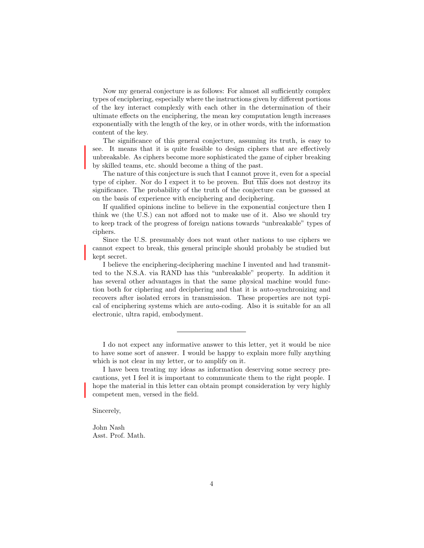Now my general conjecture is as follows: For almost all sufficiently complex types of enciphering, especially where the instructions given by different portions of the key interact complexly with each other in the determination of their ultimate effects on the enciphering, the mean key computation length increases exponentially with the length of the key, or in other words, with the information content of the key.

The significance of this general conjecture, assuming its truth, is easy to see. It means that it is quite feasible to design ciphers that are effectively unbreakable. As ciphers become more sophisticated the game of cipher breaking by skilled teams, etc. should become a thing of the past.

The nature of this conjecture is such that I cannot prove it, even for a special type of cipher. Nor do I expect it to be proven. But this does not destroy its significance. The probability of the truth of the conjecture can be guessed at on the basis of experience with enciphering and deciphering.

If qualified opinions incline to believe in the exponential conjecture then I think we (the U.S.) can not afford not to make use of it. Also we should try to keep track of the progress of foreign nations towards "unbreakable" types of ciphers.

Since the U.S. presumably does not want other nations to use ciphers we cannot expect to break, this general principle should probably be studied but kept secret.

I believe the enciphering-deciphering machine I invented and had transmitted to the N.S.A. via RAND has this "unbreakable" property. In addition it has several other advantages in that the same physical machine would function both for ciphering and deciphering and that it is auto-synchronizing and recovers after isolated errors in transmission. These properties are not typical of enciphering systems which are auto-coding. Also it is suitable for an all electronic, ultra rapid, embodyment.

I do not expect any informative answer to this letter, yet it would be nice to have some sort of answer. I would be happy to explain more fully anything which is not clear in my letter, or to amplify on it.

Sincerely,

John Nash Asst. Prof. Math.

I have been treating my ideas as information deserving some secrecy precautions, yet I feel it is important to communicate them to the right people. I hope the material in this letter can obtain prompt consideration by very highly competent men, versed in the field.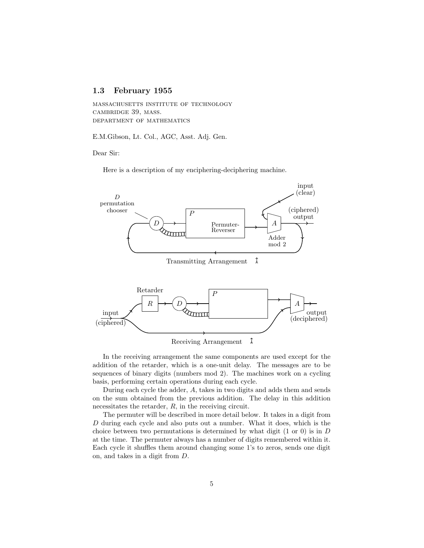### 1.3 February 1955

massachusetts institute of technology cambridge 39, mass. department of mathematics

E.M.Gibson, Lt. Col., AGC, Asst. Adj. Gen.

Dear Sir:

Here is a description of my enciphering-deciphering machine.



In the receiving arrangement the same components are used except for the addition of the retarder, which is a one-unit delay. The messages are to be sequences of binary digits (numbers mod 2). The machines work on a cycling basis, performing certain operations during each cycle.

During each cycle the adder, A, takes in two digits and adds them and sends on the sum obtained from the previous addition. The delay in this addition necessitates the retarder,  $R$ , in the receiving circuit.

The permuter will be described in more detail below. It takes in a digit from D during each cycle and also puts out a number. What it does, which is the choice between two permutations is determined by what digit  $(1 \text{ or } 0)$  is in D at the time. The permuter always has a number of digits remembered within it. Each cycle it shuffles them around changing some 1's to zeros, sends one digit on, and takes in a digit from D.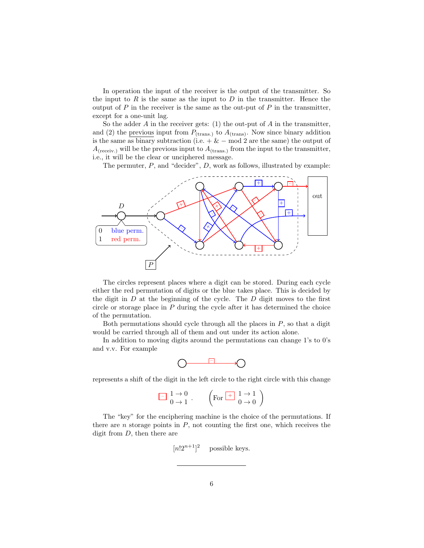In operation the input of the receiver is the output of the transmitter. So the input to  $R$  is the same as the input to  $D$  in the transmitter. Hence the output of  $P$  in the receiver is the same as the out-put of  $P$  in the transmitter, except for a one-unit lag.

So the adder  $A$  in the receiver gets: (1) the out-put of  $A$  in the transmitter, and (2) the previous input from  $P_{\text{(trans.)}}$  to  $A_{\text{(trans)}}$ . Now since binary addition is the same as binary subtraction (i.e.  $+ \& - \mod 2$  are the same) the output of  $A_{\text{(receiv.)}}$  will be the previous input to  $A_{\text{(trans.)}}$  from the input to the transmitter, i.e., it will be the clear or unciphered message.

The permuter,  $P$ , and "decider",  $D$ , work as follows, illustrated by example:



The circles represent places where a digit can be stored. During each cycle either the red permutation of digits or the blue takes place. This is decided by the digit in  $D$  at the beginning of the cycle. The  $D$  digit moves to the first circle or storage place in  $P$  during the cycle after it has determined the choice of the permutation.

Both permutations should cycle through all the places in  $P$ , so that a digit would be carried through all of them and out under its action alone.

In addition to moving digits around the permutations can change 1's to 0's and v.v. For example

represents a shift of the digit in the left circle to the right circle with this change

$$
\begin{array}{|c|c|}\hline \hline 1 \to 0 \\ \hline 0 \to 1 \end{array}, \qquad \left(\mbox{For $\frac{+}{2}$} \begin{array}{|c|}\hline 1 \to 1 \\ \hline 0 \to 0 \end{array}\right)
$$

The "key" for the enciphering machine is the choice of the permutations. If there are n storage points in  $P$ , not counting the first one, which receives the digit from  $D$ , then there are

> $[n!2^{n+1}]^2$ possible keys.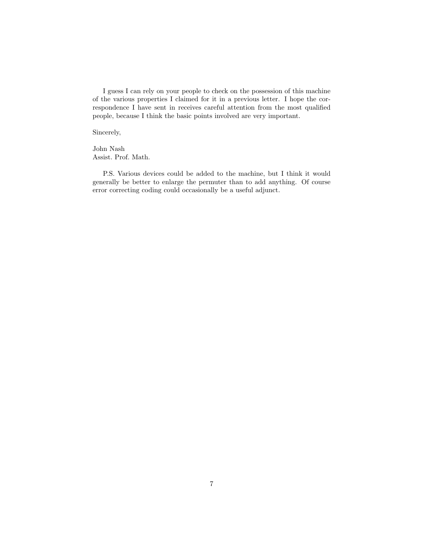I guess I can rely on your people to check on the possession of this machine of the various properties I claimed for it in a previous letter. I hope the correspondence I have sent in receives careful attention from the most qualified people, because I think the basic points involved are very important.

Sincerely,

John Nash Assist. Prof. Math.

P.S. Various devices could be added to the machine, but I think it would generally be better to enlarge the permuter than to add anything. Of course error correcting coding could occasionally be a useful adjunct.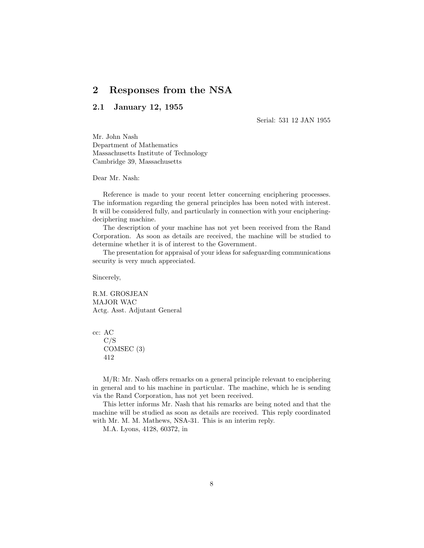### 2 Responses from the NSA

### 2.1 January 12, 1955

Serial: 531 12 JAN 1955

Mr. John Nash Department of Mathematics Massachusetts Institute of Technology Cambridge 39, Massachusetts

Dear Mr. Nash:

Reference is made to your recent letter concerning enciphering processes. The information regarding the general principles has been noted with interest. It will be considered fully, and particularly in connection with your encipheringdeciphering machine.

The description of your machine has not yet been received from the Rand Corporation. As soon as details are received, the machine will be studied to determine whether it is of interest to the Government.

The presentation for appraisal of your ideas for safeguarding communications security is very much appreciated.

Sincerely,

R.M. GROSJEAN MAJOR WAC Actg. Asst. Adjutant General

cc: AC C/S COMSEC (3) 412

M/R: Mr. Nash offers remarks on a general principle relevant to enciphering in general and to his machine in particular. The machine, which he is sending via the Rand Corporation, has not yet been received.

This letter informs Mr. Nash that his remarks are being noted and that the machine will be studied as soon as details are received. This reply coordinated with Mr. M. M. Mathews, NSA-31. This is an interim reply.

M.A. Lyons, 4128, 60372, in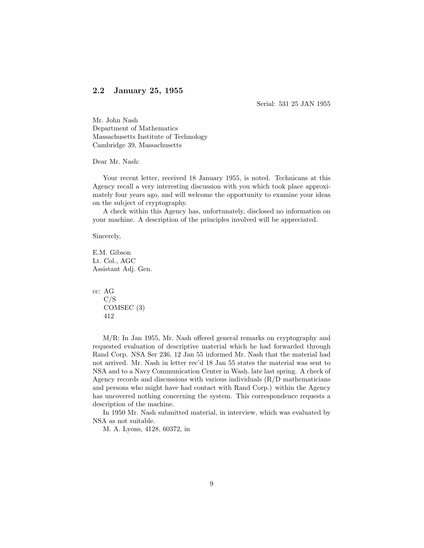### 2.2 January 25, 1955

Serial: 531 25 JAN 1955

Mr. John Nash Department of Mathematics Massachusetts Institute of Technology Cambridge 39, Massachusetts

Dear Mr. Nash:

Your recent letter, received 18 January 1955, is noted. Technicans at this Agency recall a very interesting discussion with you which took place approximately four years ago, and will welcome the opportunity to examine your ideas on the subject of cryptography.

A check within this Agency has, unfortunately, disclosed no information on your machine. A description of the principles involved will be appreciated.

Sincerely,

E.M. Gibson Lt. Col., AGC Assistant Adj. Gen.

cc: AG C/S COMSEC (3) 412

M/R: In Jan 1955, Mr. Nash offered general remarks on cryptography and requested evaluation of descriptive material which he had forwarded through Rand Corp. NSA Ser 236, 12 Jan 55 informed Mr. Nash that the material had not arrived. Mr. Nash in letter rec'd 18 Jan 55 states the material was sent to NSA and to a Navy Communication Center in Wash. late last spring. A check of Agency records and discussions with various individuals (R/D mathematicians and persons who might have had contact with Rand Corp.) within the Agency has uncovered nothing concerning the system. This correspondence requests a description of the machine.

In 1950 Mr. Nash submitted material, in interview, which was evaluated by NSA as not suitable.

M. A. Lyons, 4128, 60372, in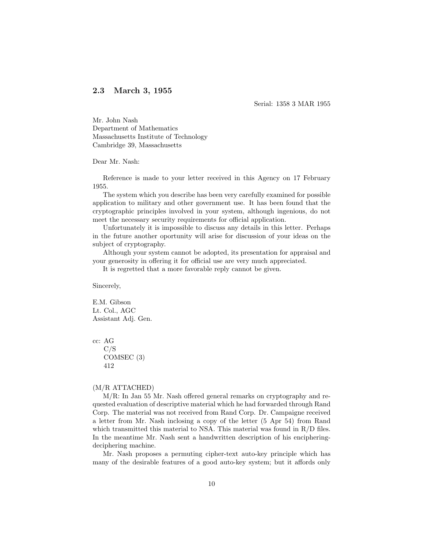### 2.3 March 3, 1955

Serial: 1358 3 MAR 1955

Mr. John Nash Department of Mathematics Massachusetts Institute of Technology Cambridge 39, Massachusetts

Dear Mr. Nash:

Reference is made to your letter received in this Agency on 17 February 1955.

The system which you describe has been very carefully examined for possible application to military and other government use. It has been found that the cryptographic principles involved in your system, although ingenious, do not meet the necessary security requirements for official application.

Unfortunately it is impossible to discuss any details in this letter. Perhaps in the future another oportunity will arise for discussion of your ideas on the subject of cryptography.

Although your system cannot be adopted, its presentation for appraisal and your generosity in offering it for official use are very much appreciated.

It is regretted that a more favorable reply cannot be given.

Sincerely,

E.M. Gibson Lt. Col., AGC Assistant Adj. Gen.

cc: AG C/S COMSEC (3) 412

#### (M/R ATTACHED)

M/R: In Jan 55 Mr. Nash offered general remarks on cryptography and requested evaluation of descriptive material which he had forwarded through Rand Corp. The material was not received from Rand Corp. Dr. Campaigne received a letter from Mr. Nash inclosing a copy of the letter (5 Apr 54) from Rand which transmitted this material to NSA. This material was found in R/D files. In the meantime Mr. Nash sent a handwritten description of his encipheringdeciphering machine.

Mr. Nash proposes a permuting cipher-text auto-key principle which has many of the desirable features of a good auto-key system; but it affords only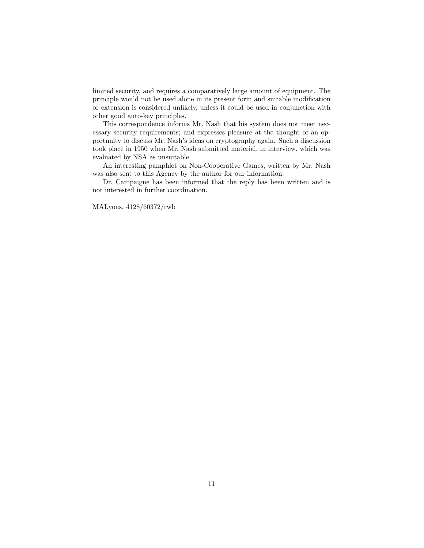limited security, and requires a comparatively large amount of equipment. The principle would not be used alone in its present form and suitable modification or extension is considered unlikely, unless it could be used in conjunction with other good auto-key principles.

This correspondence informs Mr. Nash that his system does not meet necessary security requirements; and expresses pleasure at the thought of an opportunity to discuss Mr. Nash's ideas on cryptography again. Such a discussion took place in 1950 when Mr. Nash submitted material, in interview, which was evaluated by NSA as unsuitable.

An interesting pamphlet on Non-Cooperative Games, written by Mr. Nash was also sent to this Agency by the author for our information.

Dr. Campaigne has been informed that the reply has been written and is not interested in further coordination.

MALyons, 4128/60372/rwb